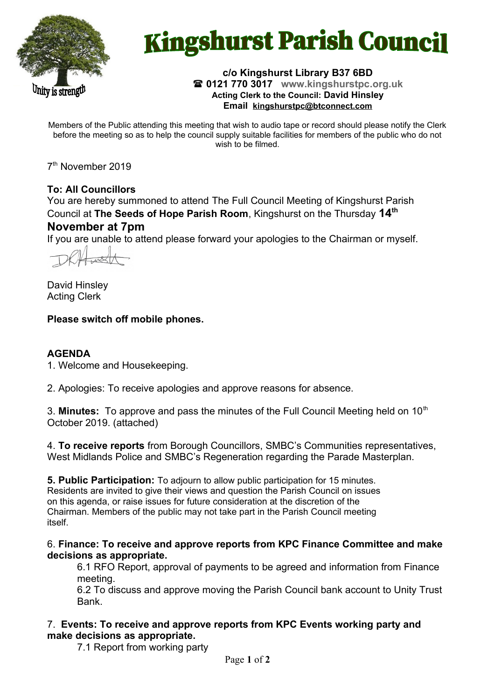

# **Kingshurst Parish Council**

Jnity is strength

#### **c/o Kingshurst Library B37 6BD 0121 770 3017 www.kingshurstpc.org.uk Acting Clerk to the Council: David Hinsley Email [kingshurstpc@btconnect.com](mailto:kingshurstpc@btconnect.com)**

Members of the Public attending this meeting that wish to audio tape or record should please notify the Clerk before the meeting so as to help the council supply suitable facilities for members of the public who do not wish to be filmed.

7<sup>th</sup> November 2019

# **To: All Councillors**

You are hereby summoned to attend The Full Council Meeting of Kingshurst Parish Council at **The Seeds of Hope Parish Room**, Kingshurst on the Thursday **14th November at 7pm**

If you are unable to attend please forward your apologies to the Chairman or myself.

David Hinsley Acting Clerk

# **Please switch off mobile phones.**

# **AGENDA**

1. Welcome and Housekeeping.

2. Apologies: To receive apologies and approve reasons for absence.

3. **Minutes:** To approve and pass the minutes of the Full Council Meeting held on 10<sup>th</sup> October 2019. (attached)

4. **To receive reports** from Borough Councillors, SMBC's Communities representatives, West Midlands Police and SMBC's Regeneration regarding the Parade Masterplan.

**5. Public Participation:** To adjourn to allow public participation for 15 minutes. Residents are invited to give their views and question the Parish Council on issues on this agenda, or raise issues for future consideration at the discretion of the Chairman. Members of the public may not take part in the Parish Council meeting itself.

6. **Finance: To receive and approve reports from KPC Finance Committee and make decisions as appropriate.**

6.1 RFO Report, approval of payments to be agreed and information from Finance meeting.

6.2 To discuss and approve moving the Parish Council bank account to Unity Trust Bank.

7. **Events: To receive and approve reports from KPC Events working party and make decisions as appropriate.**

7.1 Report from working party